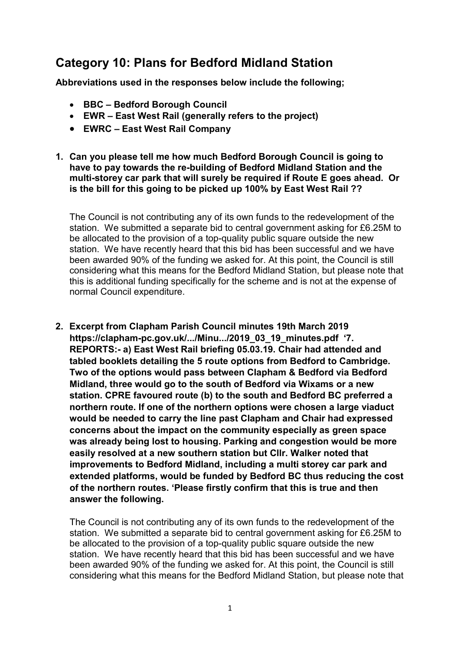# Category 10: Plans for Bedford Midland Station

Abbreviations used in the responses below include the following;

- BBC Bedford Borough Council
- EWR East West Rail (generally refers to the project)
- EWRC East West Rail Company
- 1. Can you please tell me how much Bedford Borough Council is going to have to pay towards the re-building of Bedford Midland Station and the multi-storey car park that will surely be required if Route E goes ahead. Or is the bill for this going to be picked up 100% by East West Rail ??

 The Council is not contributing any of its own funds to the redevelopment of the station. We submitted a separate bid to central government asking for £6.25M to be allocated to the provision of a top-quality public square outside the new station. We have recently heard that this bid has been successful and we have been awarded 90% of the funding we asked for. At this point, the Council is still considering what this means for the Bedford Midland Station, but please note that this is additional funding specifically for the scheme and is not at the expense of normal Council expenditure.

 2. Excerpt from Clapham Parish Council minutes 19th March 2019 https://clapham-pc.gov.uk/.../Minu.../2019\_03\_19\_minutes.pdf '7. REPORTS:- a) East West Rail briefing 05.03.19. Chair had attended and tabled booklets detailing the 5 route options from Bedford to Cambridge. Two of the options would pass between Clapham & Bedford via Bedford Midland, three would go to the south of Bedford via Wixams or a new station. CPRE favoured route (b) to the south and Bedford BC preferred a northern route. If one of the northern options were chosen a large viaduct would be needed to carry the line past Clapham and Chair had expressed concerns about the impact on the community especially as green space was already being lost to housing. Parking and congestion would be more easily resolved at a new southern station but Cllr. Walker noted that improvements to Bedford Midland, including a multi storey car park and extended platforms, would be funded by Bedford BC thus reducing the cost of the northern routes. 'Please firstly confirm that this is true and then answer the following.

 The Council is not contributing any of its own funds to the redevelopment of the station. We submitted a separate bid to central government asking for £6.25M to be allocated to the provision of a top-quality public square outside the new station. We have recently heard that this bid has been successful and we have been awarded 90% of the funding we asked for. At this point, the Council is still considering what this means for the Bedford Midland Station, but please note that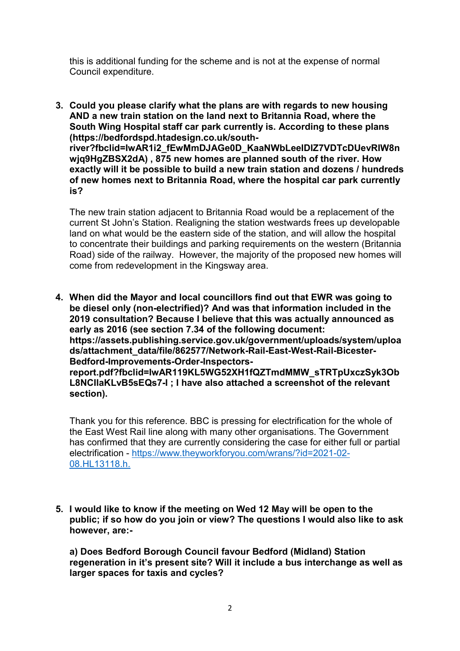this is additional funding for the scheme and is not at the expense of normal Council expenditure.

 3. Could you please clarify what the plans are with regards to new housing AND a new train station on the land next to Britannia Road, where the South Wing Hospital staff car park currently is. According to these plans wjq9HgZBSX2dA) , 875 new homes are planned south of the river. How exactly will it be possible to build a new train station and dozens / hundreds of new homes next to Britannia Road, where the hospital car park currently is? (https://bedfordspd.htadesign.co.uk/southriver?fbclid=IwAR1i2\_fEwMmDJAGe0D\_KaaNWbLeeIDIZ7VDTcDUevRIW8n

 The new train station adjacent to Britannia Road would be a replacement of the current St John's Station. Realigning the station westwards frees up developable land on what would be the eastern side of the station, and will allow the hospital to concentrate their buildings and parking requirements on the western (Britannia Road) side of the railway. However, the majority of the proposed new homes will come from redevelopment in the Kingsway area.

 4. When did the Mayor and local councillors find out that EWR was going to be diesel only (non-electrified)? And was that information included in the 2019 consultation? Because I believe that this was actually announced as early as 2016 (see section 7.34 of the following document: L8NCIlaKLvB5sEQs7-I ; I have also attached a screenshot of the relevant https://assets.publishing.service.gov.uk/government/uploads/system/uploa ds/attachment\_data/file/862577/Network-Rail-East-West-Rail-Bicester-Bedford-Improvements-Order-Inspectorsreport.pdf?fbclid=IwAR119KL5WG52XH1fQZTmdMMW\_sTRTpUxczSyk3Ob section).

 Thank you for this reference. BBC is pressing for electrification for the whole of the East West Rail line along with many other organisations. The Government has confirmed that they are currently considering the case for either full or partial electrification - https://www.theyworkforyou.com/wrans/?id=2021-02- 08.HL13118.h.

 5. I would like to know if the meeting on Wed 12 May will be open to the public; if so how do you join or view? The questions I would also like to ask however, are:-

 a) Does Bedford Borough Council favour Bedford (Midland) Station regeneration in it's present site? Will it include a bus interchange as well as larger spaces for taxis and cycles?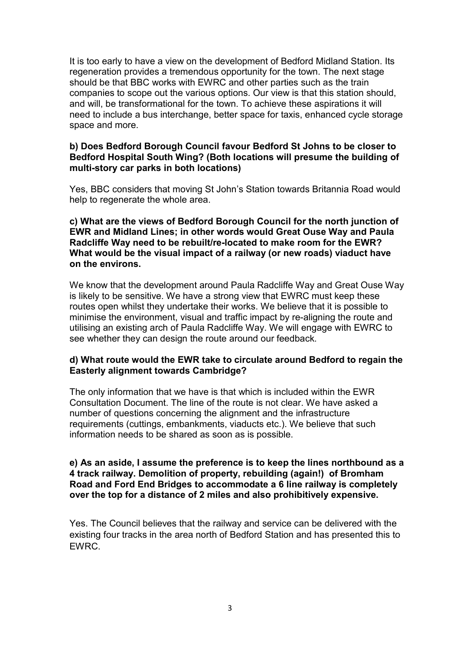It is too early to have a view on the development of Bedford Midland Station. Its regeneration provides a tremendous opportunity for the town. The next stage should be that BBC works with EWRC and other parties such as the train companies to scope out the various options. Our view is that this station should, and will, be transformational for the town. To achieve these aspirations it will need to include a bus interchange, better space for taxis, enhanced cycle storage space and more.

## b) Does Bedford Borough Council favour Bedford St Johns to be closer to Bedford Hospital South Wing? (Both locations will presume the building of multi-story car parks in both locations)

 Yes, BBC considers that moving St John's Station towards Britannia Road would help to regenerate the whole area.

 c) What are the views of Bedford Borough Council for the north junction of EWR and Midland Lines; in other words would Great Ouse Way and Paula Radcliffe Way need to be rebuilt/re-located to make room for the EWR? What would be the visual impact of a railway (or new roads) viaduct have on the environs.

 We know that the development around Paula Radcliffe Way and Great Ouse Way is likely to be sensitive. We have a strong view that EWRC must keep these routes open whilst they undertake their works. We believe that it is possible to minimise the environment, visual and traffic impact by re-aligning the route and utilising an existing arch of Paula Radcliffe Way. We will engage with EWRC to see whether they can design the route around our feedback.

## d) What route would the EWR take to circulate around Bedford to regain the Easterly alignment towards Cambridge?

 The only information that we have is that which is included within the EWR Consultation Document. The line of the route is not clear. We have asked a number of questions concerning the alignment and the infrastructure requirements (cuttings, embankments, viaducts etc.). We believe that such information needs to be shared as soon as is possible.

## e) As an aside, I assume the preference is to keep the lines northbound as a 4 track railway. Demolition of property, rebuilding (again!) of Bromham Road and Ford End Bridges to accommodate a 6 line railway is completely over the top for a distance of 2 miles and also prohibitively expensive.

 Yes. The Council believes that the railway and service can be delivered with the existing four tracks in the area north of Bedford Station and has presented this to EWRC.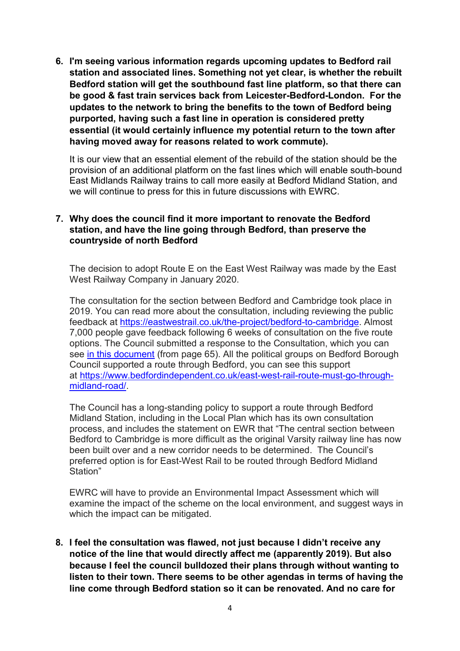6. I'm seeing various information regards upcoming updates to Bedford rail station and associated lines. Something not yet clear, is whether the rebuilt Bedford station will get the southbound fast line platform, so that there can be good & fast train services back from Leicester-Bedford-London. For the updates to the network to bring the benefits to the town of Bedford being purported, having such a fast line in operation is considered pretty essential (it would certainly influence my potential return to the town after having moved away for reasons related to work commute).

 It is our view that an essential element of the rebuild of the station should be the provision of an additional platform on the fast lines which will enable south-bound East Midlands Railway trains to call more easily at Bedford Midland Station, and we will continue to press for this in future discussions with EWRC.

# 7. Why does the council find it more important to renovate the Bedford station, and have the line going through Bedford, than preserve the countryside of north Bedford

 The decision to adopt Route E on the East West Railway was made by the East West Railway Company in January 2020.

 The consultation for the section between Bedford and Cambridge took place in 2019. You can read more about the consultation, including reviewing the public feedback at <u>https://eastwestrail.co.uk/the-project/bedford-to-cambridge</u>. Almost 7,000 people gave feedback following 6 weeks of consultation on the five route options. The Council submitted a response to the Consultation, which you can see in this document (from page 65). All the political groups on Bedford Borough Council supported a route through Bedford, you can see this support at https://www.bedfordindependent.co.uk/east-west-rail-route-must-go-throughmidland-road/.

 The Council has a long-standing policy to support a route through Bedford Midland Station, including in the Local Plan which has its own consultation process, and includes the statement on EWR that "The central section between Bedford to Cambridge is more difficult as the original Varsity railway line has now been built over and a new corridor needs to be determined. The Council's preferred option is for East-West Rail to be routed through Bedford Midland Station"

 EWRC will have to provide an Environmental Impact Assessment which will examine the impact of the scheme on the local environment, and suggest ways in which the impact can be mitigated.

 8. I feel the consultation was flawed, not just because I didn't receive any notice of the line that would directly affect me (apparently 2019). But also because I feel the council bulldozed their plans through without wanting to listen to their town. There seems to be other agendas in terms of having the line come through Bedford station so it can be renovated. And no care for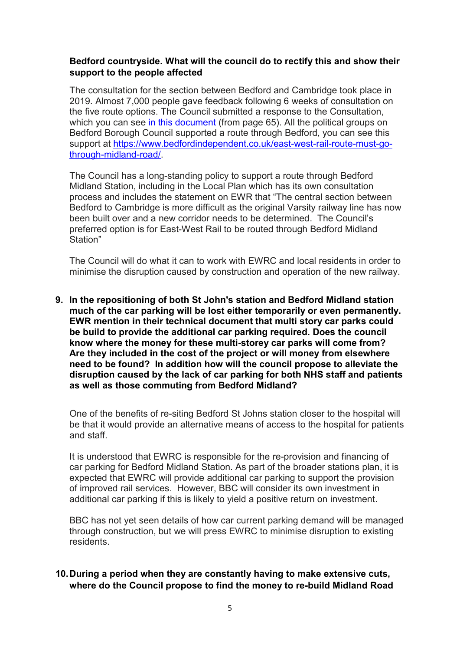# Bedford countryside. What will the council do to rectify this and show their support to the people affected

 The consultation for the section between Bedford and Cambridge took place in 2019. Almost 7,000 people gave feedback following 6 weeks of consultation on the five route options. The Council submitted a response to the Consultation, which you can see <u>in this document</u> (from page 65). All the political groups on Bedford Borough Council supported a route through Bedford, you can see this support at https://www.bedfordindependent.co.uk/east-west-rail-route-must-gothrough-midland-road/.

 The Council has a long-standing policy to support a route through Bedford Midland Station, including in the Local Plan which has its own consultation process and includes the statement on EWR that "The central section between Bedford to Cambridge is more difficult as the original Varsity railway line has now been built over and a new corridor needs to be determined. The Council's preferred option is for East-West Rail to be routed through Bedford Midland Station"

 The Council will do what it can to work with EWRC and local residents in order to minimise the disruption caused by construction and operation of the new railway.

 9. In the repositioning of both St John's station and Bedford Midland station much of the car parking will be lost either temporarily or even permanently. EWR mention in their technical document that multi story car parks could be build to provide the additional car parking required. Does the council know where the money for these multi-storey car parks will come from? Are they included in the cost of the project or will money from elsewhere need to be found? In addition how will the council propose to alleviate the disruption caused by the lack of car parking for both NHS staff and patients as well as those commuting from Bedford Midland?

 One of the benefits of re-siting Bedford St Johns station closer to the hospital will be that it would provide an alternative means of access to the hospital for patients and staff.

 It is understood that EWRC is responsible for the re-provision and financing of car parking for Bedford Midland Station. As part of the broader stations plan, it is expected that EWRC will provide additional car parking to support the provision of improved rail services. However, BBC will consider its own investment in additional car parking if this is likely to yield a positive return on investment.

 BBC has not yet seen details of how car current parking demand will be managed through construction, but we will press EWRC to minimise disruption to existing residents.

# 10.During a period when they are constantly having to make extensive cuts, where do the Council propose to find the money to re-build Midland Road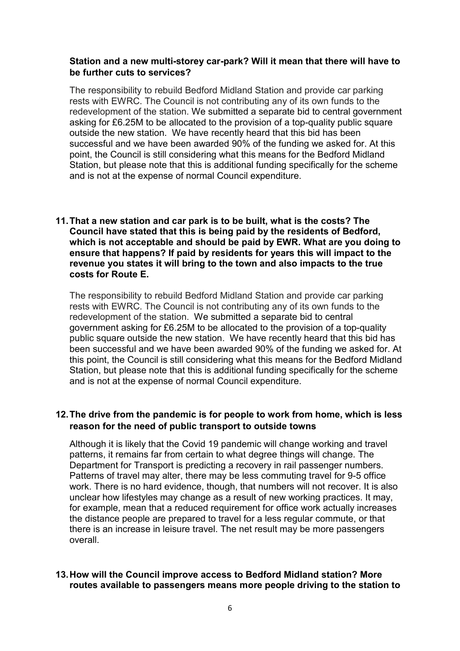# Station and a new multi-storey car-park? Will it mean that there will have to be further cuts to services?

 The responsibility to rebuild Bedford Midland Station and provide car parking rests with EWRC. The Council is not contributing any of its own funds to the redevelopment of the station. We submitted a separate bid to central government asking for £6.25M to be allocated to the provision of a top-quality public square outside the new station. We have recently heard that this bid has been successful and we have been awarded 90% of the funding we asked for. At this point, the Council is still considering what this means for the Bedford Midland Station, but please note that this is additional funding specifically for the scheme and is not at the expense of normal Council expenditure.

### 11.That a new station and car park is to be built, what is the costs? The Council have stated that this is being paid by the residents of Bedford, which is not acceptable and should be paid by EWR. What are you doing to ensure that happens? If paid by residents for years this will impact to the revenue you states it will bring to the town and also impacts to the true costs for Route E.

 The responsibility to rebuild Bedford Midland Station and provide car parking rests with EWRC. The Council is not contributing any of its own funds to the redevelopment of the station. We submitted a separate bid to central government asking for £6.25M to be allocated to the provision of a top-quality public square outside the new station. We have recently heard that this bid has been successful and we have been awarded 90% of the funding we asked for. At this point, the Council is still considering what this means for the Bedford Midland Station, but please note that this is additional funding specifically for the scheme and is not at the expense of normal Council expenditure.

# 12.The drive from the pandemic is for people to work from home, which is less reason for the need of public transport to outside towns

 Although it is likely that the Covid 19 pandemic will change working and travel patterns, it remains far from certain to what degree things will change. The Department for Transport is predicting a recovery in rail passenger numbers. Patterns of travel may alter, there may be less commuting travel for 9-5 office work. There is no hard evidence, though, that numbers will not recover. It is also unclear how lifestyles may change as a result of new working practices. It may, for example, mean that a reduced requirement for office work actually increases the distance people are prepared to travel for a less regular commute, or that there is an increase in leisure travel. The net result may be more passengers overall.

## 13.How will the Council improve access to Bedford Midland station? More routes available to passengers means more people driving to the station to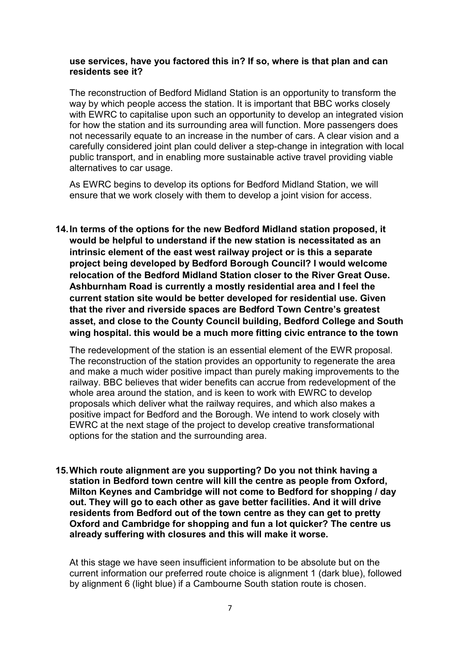#### use services, have you factored this in? If so, where is that plan and can residents see it?

 The reconstruction of Bedford Midland Station is an opportunity to transform the way by which people access the station. It is important that BBC works closely with EWRC to capitalise upon such an opportunity to develop an integrated vision for how the station and its surrounding area will function. More passengers does not necessarily equate to an increase in the number of cars. A clear vision and a carefully considered joint plan could deliver a step-change in integration with local public transport, and in enabling more sustainable active travel providing viable alternatives to car usage.

 As EWRC begins to develop its options for Bedford Midland Station, we will ensure that we work closely with them to develop a joint vision for access.

 14.In terms of the options for the new Bedford Midland station proposed, it would be helpful to understand if the new station is necessitated as an intrinsic element of the east west railway project or is this a separate project being developed by Bedford Borough Council? I would welcome relocation of the Bedford Midland Station closer to the River Great Ouse. Ashburnham Road is currently a mostly residential area and I feel the current station site would be better developed for residential use. Given that the river and riverside spaces are Bedford Town Centre's greatest asset, and close to the County Council building, Bedford College and South wing hospital. this would be a much more fitting civic entrance to the town

 The redevelopment of the station is an essential element of the EWR proposal. The reconstruction of the station provides an opportunity to regenerate the area and make a much wider positive impact than purely making improvements to the railway. BBC believes that wider benefits can accrue from redevelopment of the whole area around the station, and is keen to work with EWRC to develop proposals which deliver what the railway requires, and which also makes a positive impact for Bedford and the Borough. We intend to work closely with EWRC at the next stage of the project to develop creative transformational options for the station and the surrounding area.

 15.Which route alignment are you supporting? Do you not think having a station in Bedford town centre will kill the centre as people from Oxford, Milton Keynes and Cambridge will not come to Bedford for shopping / day out. They will go to each other as gave better facilities. And it will drive residents from Bedford out of the town centre as they can get to pretty Oxford and Cambridge for shopping and fun a lot quicker? The centre us already suffering with closures and this will make it worse.

 At this stage we have seen insufficient information to be absolute but on the current information our preferred route choice is alignment 1 (dark blue), followed by alignment 6 (light blue) if a Cambourne South station route is chosen.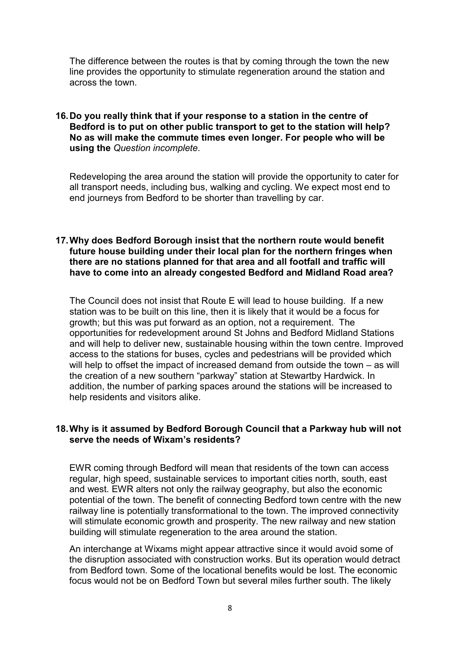The difference between the routes is that by coming through the town the new line provides the opportunity to stimulate regeneration around the station and across the town.

#### 16.Do you really think that if your response to a station in the centre of Bedford is to put on other public transport to get to the station will help? No as will make the commute times even longer. For people who will be using the Question incomplete.

 Redeveloping the area around the station will provide the opportunity to cater for all transport needs, including bus, walking and cycling. We expect most end to end journeys from Bedford to be shorter than travelling by car.

#### 17.Why does Bedford Borough insist that the northern route would benefit future house building under their local plan for the northern fringes when there are no stations planned for that area and all footfall and traffic will have to come into an already congested Bedford and Midland Road area?

 The Council does not insist that Route E will lead to house building. If a new station was to be built on this line, then it is likely that it would be a focus for growth; but this was put forward as an option, not a requirement. The opportunities for redevelopment around St Johns and Bedford Midland Stations and will help to deliver new, sustainable housing within the town centre. Improved access to the stations for buses, cycles and pedestrians will be provided which will help to offset the impact of increased demand from outside the town – as will the creation of a new southern "parkway" station at Stewartby Hardwick. In addition, the number of parking spaces around the stations will be increased to help residents and visitors alike.

#### 18.Why is it assumed by Bedford Borough Council that a Parkway hub will not serve the needs of Wixam's residents?

 EWR coming through Bedford will mean that residents of the town can access regular, high speed, sustainable services to important cities north, south, east and west. EWR alters not only the railway geography, but also the economic potential of the town. The benefit of connecting Bedford town centre with the new railway line is potentially transformational to the town. The improved connectivity will stimulate economic growth and prosperity. The new railway and new station building will stimulate regeneration to the area around the station.

 An interchange at Wixams might appear attractive since it would avoid some of the disruption associated with construction works. But its operation would detract from Bedford town. Some of the locational benefits would be lost. The economic focus would not be on Bedford Town but several miles further south. The likely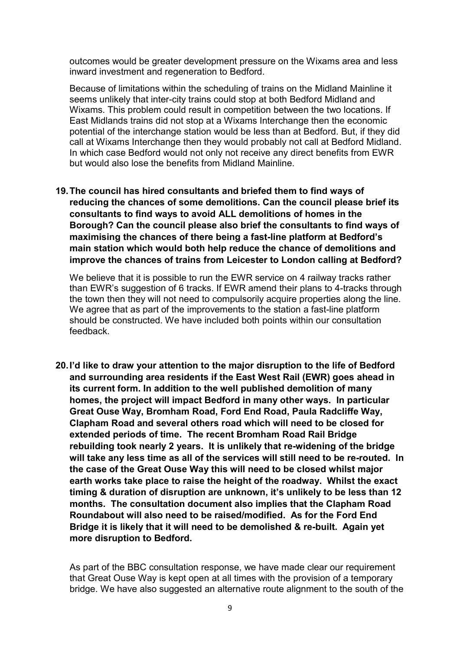outcomes would be greater development pressure on the Wixams area and less inward investment and regeneration to Bedford.

 Because of limitations within the scheduling of trains on the Midland Mainline it seems unlikely that inter-city trains could stop at both Bedford Midland and Wixams. This problem could result in competition between the two locations. If East Midlands trains did not stop at a Wixams Interchange then the economic potential of the interchange station would be less than at Bedford. But, if they did call at Wixams Interchange then they would probably not call at Bedford Midland. In which case Bedford would not only not receive any direct benefits from EWR but would also lose the benefits from Midland Mainline.

 19.The council has hired consultants and briefed them to find ways of reducing the chances of some demolitions. Can the council please brief its consultants to find ways to avoid ALL demolitions of homes in the Borough? Can the council please also brief the consultants to find ways of maximising the chances of there being a fast-line platform at Bedford's main station which would both help reduce the chance of demolitions and improve the chances of trains from Leicester to London calling at Bedford?

 We believe that it is possible to run the EWR service on 4 railway tracks rather than EWR's suggestion of 6 tracks. If EWR amend their plans to 4-tracks through the town then they will not need to compulsorily acquire properties along the line. We agree that as part of the improvements to the station a fast-line platform should be constructed. We have included both points within our consultation feedback.

 20.I'd like to draw your attention to the major disruption to the life of Bedford and surrounding area residents if the East West Rail (EWR) goes ahead in its current form. In addition to the well published demolition of many homes, the project will impact Bedford in many other ways. In particular Great Ouse Way, Bromham Road, Ford End Road, Paula Radcliffe Way, Clapham Road and several others road which will need to be closed for extended periods of time. The recent Bromham Road Rail Bridge rebuilding took nearly 2 years. It is unlikely that re-widening of the bridge will take any less time as all of the services will still need to be re-routed. In the case of the Great Ouse Way this will need to be closed whilst major earth works take place to raise the height of the roadway. Whilst the exact timing & duration of disruption are unknown, it's unlikely to be less than 12 months. The consultation document also implies that the Clapham Road Roundabout will also need to be raised/modified. As for the Ford End Bridge it is likely that it will need to be demolished & re-built. Again yet more disruption to Bedford.

 As part of the BBC consultation response, we have made clear our requirement that Great Ouse Way is kept open at all times with the provision of a temporary bridge. We have also suggested an alternative route alignment to the south of the